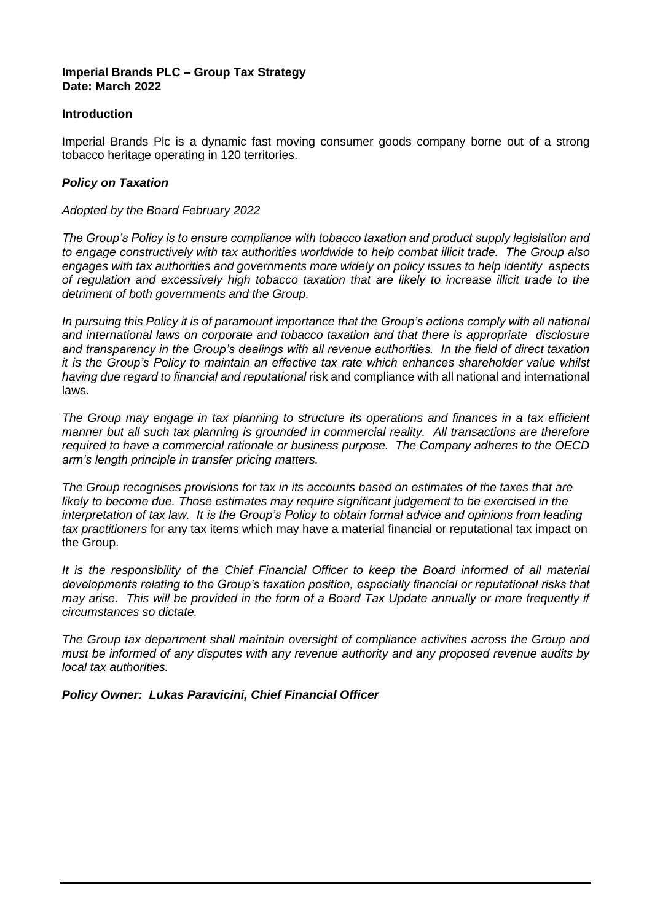#### **Imperial Brands PLC – Group Tax Strategy Date: March 2022**

#### **Introduction**

Imperial Brands Plc is a dynamic fast moving consumer goods company borne out of a strong tobacco heritage operating in 120 territories.

#### *Policy on Taxation*

#### *Adopted by the Board February 2022*

*The Group's Policy is to ensure compliance with tobacco taxation and product supply legislation and to engage constructively with tax authorities worldwide to help combat illicit trade. The Group also engages with tax authorities and governments more widely on policy issues to help identify aspects of regulation and excessively high tobacco taxation that are likely to increase illicit trade to the detriment of both governments and the Group.*

*In pursuing this Policy it is of paramount importance that the Group's actions comply with all national and international laws on corporate and tobacco taxation and that there is appropriate disclosure and transparency in the Group's dealings with all revenue authorities. In the field of direct taxation it is the Group's Policy to maintain an effective tax rate which enhances shareholder value whilst having due regard to financial and reputational* risk and compliance with all national and international laws.

*The Group may engage in tax planning to structure its operations and finances in a tax efficient manner but all such tax planning is grounded in commercial reality. All transactions are therefore required to have a commercial rationale or business purpose. The Company adheres to the OECD arm's length principle in transfer pricing matters.*

*The Group recognises provisions for tax in its accounts based on estimates of the taxes that are likely to become due. Those estimates may require significant judgement to be exercised in the interpretation of tax law. It is the Group's Policy to obtain formal advice and opinions from leading tax practitioners* for any tax items which may have a material financial or reputational tax impact on the Group.

*It is the responsibility of the Chief Financial Officer to keep the Board informed of all material developments relating to the Group's taxation position, especially financial or reputational risks that may arise. This will be provided in the form of a Board Tax Update annually or more frequently if circumstances so dictate.*

*The Group tax department shall maintain oversight of compliance activities across the Group and must be informed of any disputes with any revenue authority and any proposed revenue audits by local tax authorities.*

*Policy Owner: Lukas Paravicini, Chief Financial Officer*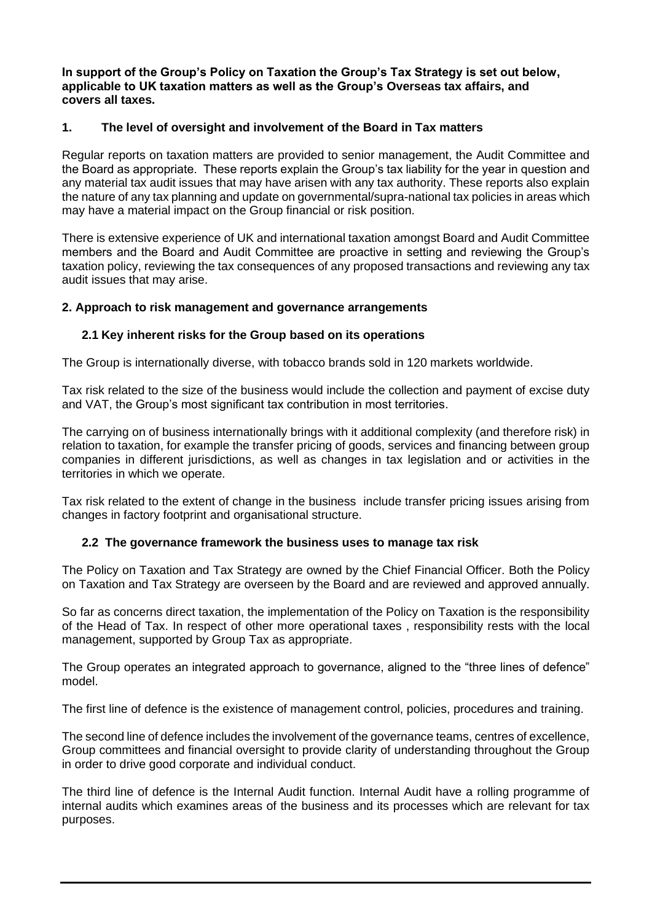**In support of the Group's Policy on Taxation the Group's Tax Strategy is set out below, applicable to UK taxation matters as well as the Group's Overseas tax affairs, and covers all taxes.** 

# **1. The level of oversight and involvement of the Board in Tax matters**

Regular reports on taxation matters are provided to senior management, the Audit Committee and the Board as appropriate. These reports explain the Group's tax liability for the year in question and any material tax audit issues that may have arisen with any tax authority. These reports also explain the nature of any tax planning and update on governmental/supra-national tax policies in areas which may have a material impact on the Group financial or risk position.

There is extensive experience of UK and international taxation amongst Board and Audit Committee members and the Board and Audit Committee are proactive in setting and reviewing the Group's taxation policy, reviewing the tax consequences of any proposed transactions and reviewing any tax audit issues that may arise.

## **2. Approach to risk management and governance arrangements**

# **2.1 Key inherent risks for the Group based on its operations**

The Group is internationally diverse, with tobacco brands sold in 120 markets worldwide.

Tax risk related to the size of the business would include the collection and payment of excise duty and VAT, the Group's most significant tax contribution in most territories.

The carrying on of business internationally brings with it additional complexity (and therefore risk) in relation to taxation, for example the transfer pricing of goods, services and financing between group companies in different jurisdictions, as well as changes in tax legislation and or activities in the territories in which we operate.

Tax risk related to the extent of change in the business include transfer pricing issues arising from changes in factory footprint and organisational structure.

## **2.2 The governance framework the business uses to manage tax risk**

The Policy on Taxation and Tax Strategy are owned by the Chief Financial Officer. Both the Policy on Taxation and Tax Strategy are overseen by the Board and are reviewed and approved annually.

So far as concerns direct taxation, the implementation of the Policy on Taxation is the responsibility of the Head of Tax. In respect of other more operational taxes , responsibility rests with the local management, supported by Group Tax as appropriate.

The Group operates an integrated approach to governance, aligned to the "three lines of defence" model.

The first line of defence is the existence of management control, policies, procedures and training.

The second line of defence includes the involvement of the governance teams, centres of excellence, Group committees and financial oversight to provide clarity of understanding throughout the Group in order to drive good corporate and individual conduct.

The third line of defence is the Internal Audit function. Internal Audit have a rolling programme of internal audits which examines areas of the business and its processes which are relevant for tax purposes.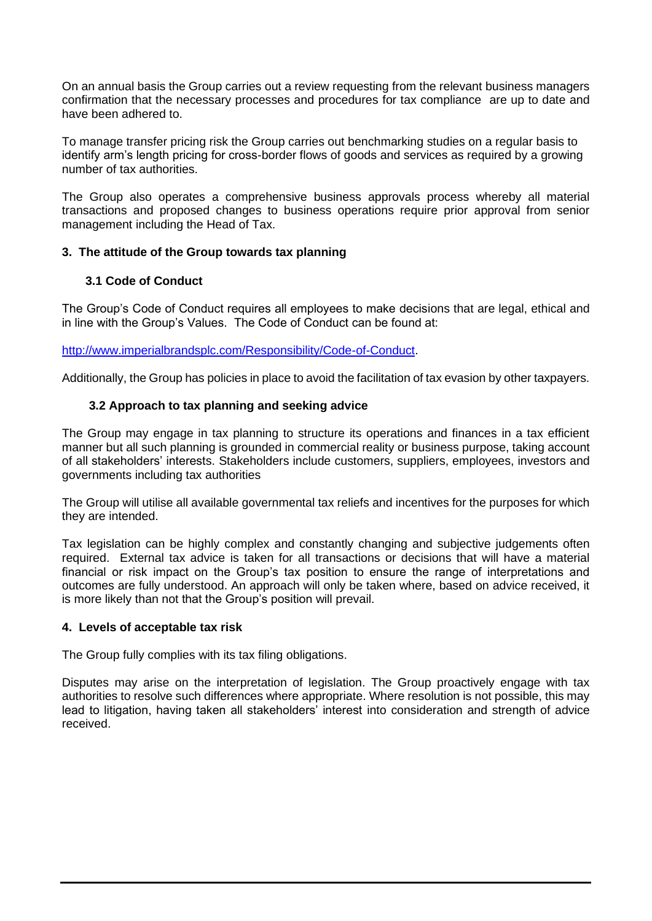On an annual basis the Group carries out a review requesting from the relevant business managers confirmation that the necessary processes and procedures for tax compliance are up to date and have been adhered to.

To manage transfer pricing risk the Group carries out benchmarking studies on a regular basis to identify arm's length pricing for cross-border flows of goods and services as required by a growing number of tax authorities.

The Group also operates a comprehensive business approvals process whereby all material transactions and proposed changes to business operations require prior approval from senior management including the Head of Tax.

## **3. The attitude of the Group towards tax planning**

## **3.1 Code of Conduct**

The Group's Code of Conduct requires all employees to make decisions that are legal, ethical and in line with the Group's Values. The Code of Conduct can be found at:

[http://www.imperialbrandsplc.com/Responsibility/Code-of-Conduct.](http://www.imperialbrandsplc.com/Responsibility/Code-of-Conduct)

Additionally, the Group has policies in place to avoid the facilitation of tax evasion by other taxpayers.

# **3.2 Approach to tax planning and seeking advice**

The Group may engage in tax planning to structure its operations and finances in a tax efficient manner but all such planning is grounded in commercial reality or business purpose, taking account of all stakeholders' interests. Stakeholders include customers, suppliers, employees, investors and governments including tax authorities

The Group will utilise all available governmental tax reliefs and incentives for the purposes for which they are intended.

Tax legislation can be highly complex and constantly changing and subjective judgements often required. External tax advice is taken for all transactions or decisions that will have a material financial or risk impact on the Group's tax position to ensure the range of interpretations and outcomes are fully understood. An approach will only be taken where, based on advice received, it is more likely than not that the Group's position will prevail.

## **4. Levels of acceptable tax risk**

The Group fully complies with its tax filing obligations.

Disputes may arise on the interpretation of legislation. The Group proactively engage with tax authorities to resolve such differences where appropriate. Where resolution is not possible, this may lead to litigation, having taken all stakeholders' interest into consideration and strength of advice received.